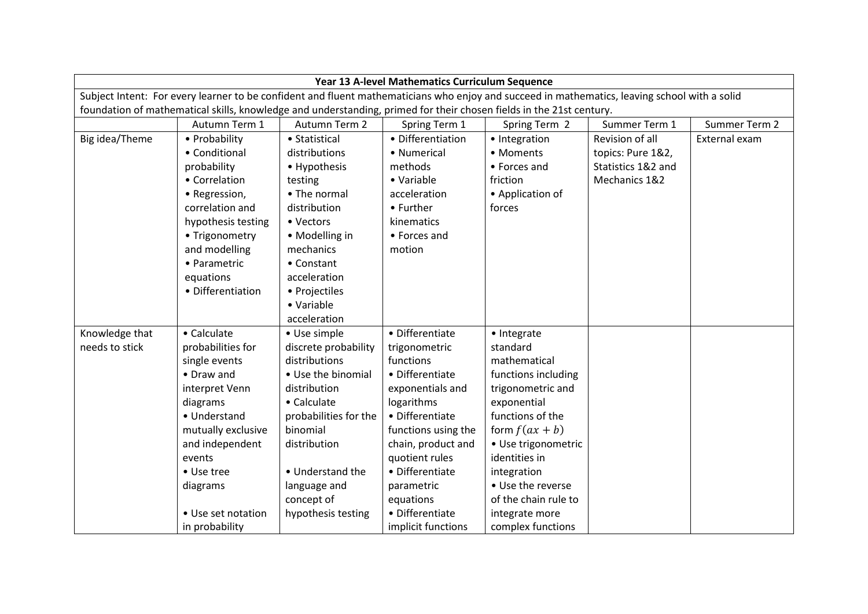| Year 13 A-level Mathematics Curriculum Sequence                                                                                               |                    |                       |                     |                      |                    |               |  |
|-----------------------------------------------------------------------------------------------------------------------------------------------|--------------------|-----------------------|---------------------|----------------------|--------------------|---------------|--|
| Subject Intent: For every learner to be confident and fluent mathematicians who enjoy and succeed in mathematics, leaving school with a solid |                    |                       |                     |                      |                    |               |  |
| foundation of mathematical skills, knowledge and understanding, primed for their chosen fields in the 21st century.                           |                    |                       |                     |                      |                    |               |  |
|                                                                                                                                               | Autumn Term 1      | Autumn Term 2         | Spring Term 1       | Spring Term 2        | Summer Term 1      | Summer Term 2 |  |
| Big idea/Theme                                                                                                                                | • Probability      | • Statistical         | • Differentiation   | • Integration        | Revision of all    | External exam |  |
|                                                                                                                                               | • Conditional      | distributions         | • Numerical         | • Moments            | topics: Pure 1&2,  |               |  |
|                                                                                                                                               | probability        | • Hypothesis          | methods             | • Forces and         | Statistics 1&2 and |               |  |
|                                                                                                                                               | • Correlation      | testing               | • Variable          | friction             | Mechanics 1&2      |               |  |
|                                                                                                                                               | • Regression,      | • The normal          | acceleration        | • Application of     |                    |               |  |
|                                                                                                                                               | correlation and    | distribution          | • Further           | forces               |                    |               |  |
|                                                                                                                                               | hypothesis testing | • Vectors             | kinematics          |                      |                    |               |  |
|                                                                                                                                               | • Trigonometry     | • Modelling in        | • Forces and        |                      |                    |               |  |
|                                                                                                                                               | and modelling      | mechanics             | motion              |                      |                    |               |  |
|                                                                                                                                               | • Parametric       | • Constant            |                     |                      |                    |               |  |
|                                                                                                                                               | equations          | acceleration          |                     |                      |                    |               |  |
|                                                                                                                                               | • Differentiation  | • Projectiles         |                     |                      |                    |               |  |
|                                                                                                                                               |                    | • Variable            |                     |                      |                    |               |  |
|                                                                                                                                               |                    | acceleration          |                     |                      |                    |               |  |
| Knowledge that                                                                                                                                | • Calculate        | • Use simple          | • Differentiate     | • Integrate          |                    |               |  |
| needs to stick                                                                                                                                | probabilities for  | discrete probability  | trigonometric       | standard             |                    |               |  |
|                                                                                                                                               | single events      | distributions         | functions           | mathematical         |                    |               |  |
|                                                                                                                                               | • Draw and         | • Use the binomial    | • Differentiate     | functions including  |                    |               |  |
|                                                                                                                                               | interpret Venn     | distribution          | exponentials and    | trigonometric and    |                    |               |  |
|                                                                                                                                               | diagrams           | • Calculate           | logarithms          | exponential          |                    |               |  |
|                                                                                                                                               | • Understand       | probabilities for the | • Differentiate     | functions of the     |                    |               |  |
|                                                                                                                                               | mutually exclusive | binomial              | functions using the | form $f(ax + b)$     |                    |               |  |
|                                                                                                                                               | and independent    | distribution          | chain, product and  | · Use trigonometric  |                    |               |  |
|                                                                                                                                               | events             |                       | quotient rules      | identities in        |                    |               |  |
|                                                                                                                                               | • Use tree         | • Understand the      | • Differentiate     | integration          |                    |               |  |
|                                                                                                                                               | diagrams           | language and          | parametric          | • Use the reverse    |                    |               |  |
|                                                                                                                                               |                    | concept of            | equations           | of the chain rule to |                    |               |  |
|                                                                                                                                               | • Use set notation | hypothesis testing    | • Differentiate     | integrate more       |                    |               |  |
|                                                                                                                                               | in probability     |                       | implicit functions  | complex functions    |                    |               |  |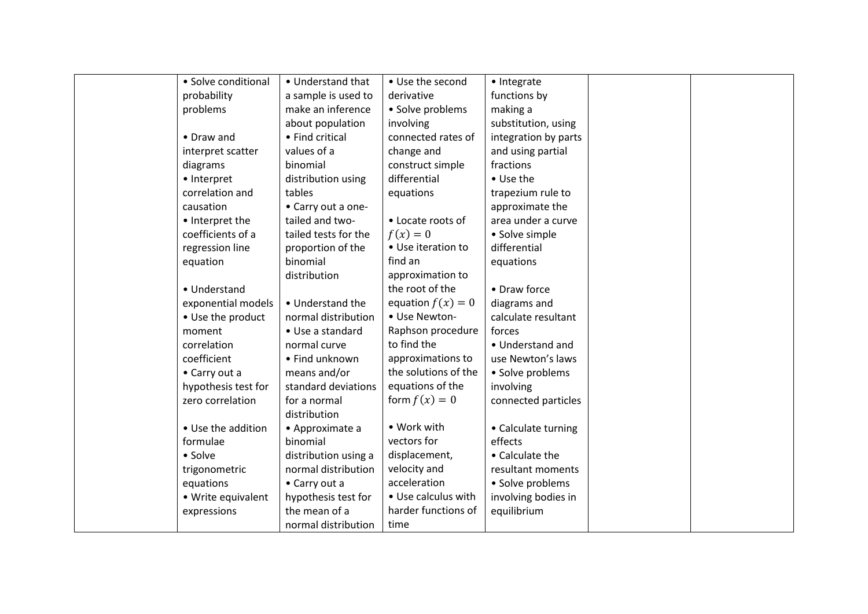| • Solve conditional | • Understand that    | • Use the second     | • Integrate          |  |
|---------------------|----------------------|----------------------|----------------------|--|
| probability         | a sample is used to  | derivative           | functions by         |  |
| problems            | make an inference    | • Solve problems     | making a             |  |
|                     | about population     | involving            | substitution, using  |  |
| • Draw and          | • Find critical      | connected rates of   | integration by parts |  |
| interpret scatter   | values of a          | change and           | and using partial    |  |
| diagrams            | binomial             | construct simple     | fractions            |  |
| • Interpret         | distribution using   | differential         | • Use the            |  |
| correlation and     | tables               | equations            | trapezium rule to    |  |
| causation           | • Carry out a one-   |                      | approximate the      |  |
| • Interpret the     | tailed and two-      | • Locate roots of    | area under a curve   |  |
| coefficients of a   | tailed tests for the | $f(x)=0$             | • Solve simple       |  |
| regression line     | proportion of the    | • Use iteration to   | differential         |  |
| equation            | binomial             | find an              | equations            |  |
|                     | distribution         | approximation to     |                      |  |
| • Understand        |                      | the root of the      | • Draw force         |  |
| exponential models  | • Understand the     | equation $f(x) = 0$  | diagrams and         |  |
| • Use the product   | normal distribution  | • Use Newton-        | calculate resultant  |  |
| moment              | • Use a standard     | Raphson procedure    | forces               |  |
| correlation         | normal curve         | to find the          | • Understand and     |  |
| coefficient         | • Find unknown       | approximations to    | use Newton's laws    |  |
| • Carry out a       | means and/or         | the solutions of the | • Solve problems     |  |
| hypothesis test for | standard deviations  | equations of the     | involving            |  |
| zero correlation    | for a normal         | form $f(x) = 0$      | connected particles  |  |
|                     | distribution         |                      |                      |  |
| • Use the addition  | • Approximate a      | • Work with          | • Calculate turning  |  |
| formulae            | binomial             | vectors for          | effects              |  |
| • Solve             | distribution using a | displacement,        | • Calculate the      |  |
| trigonometric       | normal distribution  | velocity and         | resultant moments    |  |
| equations           | • Carry out a        | acceleration         | • Solve problems     |  |
| • Write equivalent  | hypothesis test for  | • Use calculus with  | involving bodies in  |  |
| expressions         | the mean of a        | harder functions of  | equilibrium          |  |
|                     | normal distribution  | time                 |                      |  |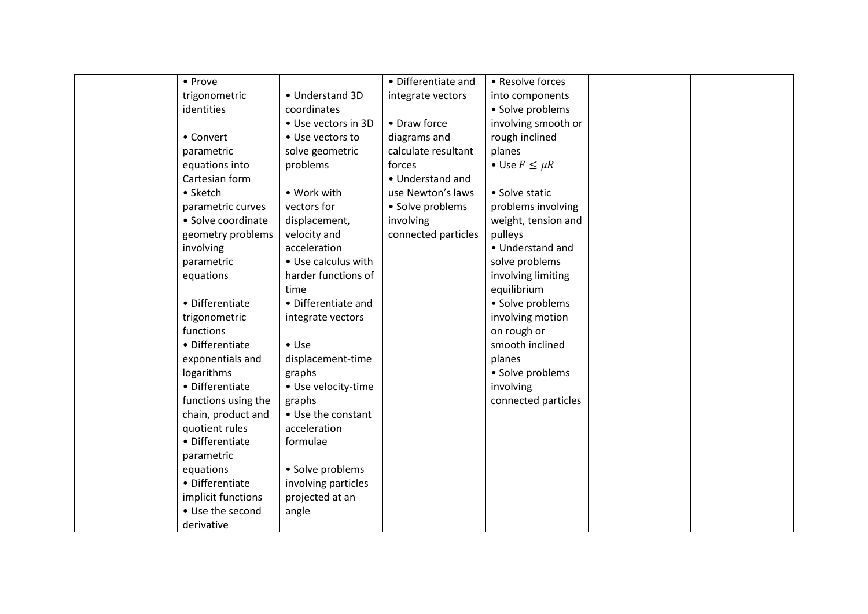| • Prove             |                     | • Differentiate and | • Resolve forces     |  |
|---------------------|---------------------|---------------------|----------------------|--|
| trigonometric       | • Understand 3D     | integrate vectors   | into components      |  |
| identities          | coordinates         |                     | • Solve problems     |  |
|                     | • Use vectors in 3D | • Draw force        | involving smooth or  |  |
| • Convert           | • Use vectors to    | diagrams and        | rough inclined       |  |
| parametric          | solve geometric     | calculate resultant | planes               |  |
| equations into      | problems            | forces              | • Use $F \leq \mu R$ |  |
| Cartesian form      |                     | • Understand and    |                      |  |
| • Sketch            | • Work with         | use Newton's laws   | • Solve static       |  |
| parametric curves   | vectors for         | • Solve problems    | problems involving   |  |
| • Solve coordinate  | displacement,       | involving           | weight, tension and  |  |
| geometry problems   | velocity and        | connected particles | pulleys              |  |
| involving           | acceleration        |                     | • Understand and     |  |
| parametric          | • Use calculus with |                     | solve problems       |  |
| equations           | harder functions of |                     | involving limiting   |  |
|                     | time                |                     | equilibrium          |  |
| • Differentiate     | • Differentiate and |                     | • Solve problems     |  |
| trigonometric       | integrate vectors   |                     | involving motion     |  |
| functions           |                     |                     | on rough or          |  |
| • Differentiate     | $\bullet$ Use       |                     | smooth inclined      |  |
| exponentials and    | displacement-time   |                     | planes               |  |
| logarithms          | graphs              |                     | • Solve problems     |  |
| • Differentiate     | • Use velocity-time |                     | involving            |  |
| functions using the | graphs              |                     | connected particles  |  |
| chain, product and  | • Use the constant  |                     |                      |  |
| quotient rules      | acceleration        |                     |                      |  |
| • Differentiate     | formulae            |                     |                      |  |
| parametric          |                     |                     |                      |  |
| equations           | • Solve problems    |                     |                      |  |
| • Differentiate     | involving particles |                     |                      |  |
| implicit functions  | projected at an     |                     |                      |  |
| • Use the second    | angle               |                     |                      |  |
| derivative          |                     |                     |                      |  |